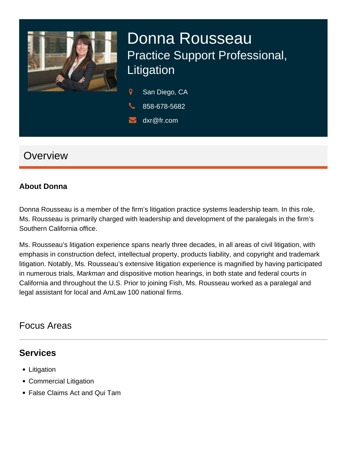

# Donna Rousseau Practice Support Professional, Litigation

 $\overline{Q}$ San Diego, CA

- 858-678-5682
- dxr@fr.com

## **Overview**

#### **About Donna**

Donna Rousseau is a member of the firm's litigation practice systems leadership team. In this role, Ms. Rousseau is primarily charged with leadership and development of the paralegals in the firm's Southern California office.

Ms. Rousseau's litigation experience spans nearly three decades, in all areas of civil litigation, with emphasis in construction defect, intellectual property, products liability, and copyright and trademark litigation. Notably, Ms. Rousseau's extensive litigation experience is magnified by having participated in numerous trials, *Markman* and dispositive motion hearings, in both state and federal courts in California and throughout the U.S. Prior to joining Fish, Ms. Rousseau worked as a paralegal and legal assistant for local and AmLaw 100 national firms.

### Focus Areas

#### **Services**

- Litigation
- Commercial Litigation
- False Claims Act and Qui Tam